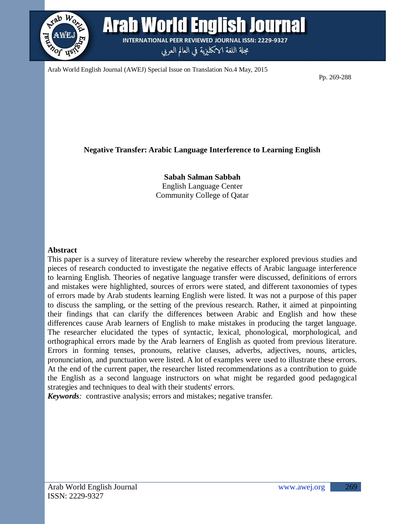

**Arab World English Journal INTERNATIONAL PEER REVIEWED JOURNAL ISSN: 2229-9327** 

مجلة اللغة الانكليزية في العالم العربي

Arab World English Journal (AWEJ) Special Issue on Translation No.4 May, 2015

Pp. 269-288

# **Negative Transfer: Arabic Language Interference to Learning English**

**Sabah Salman Sabbah** English Language Center Community College of Qatar

## **Abstract**

This paper is a survey of literature review whereby the researcher explored previous studies and pieces of research conducted to investigate the negative effects of Arabic language interference to learning English. Theories of negative language transfer were discussed, definitions of errors and mistakes were highlighted, sources of errors were stated, and different taxonomies of types of errors made by Arab students learning English were listed. It was not a purpose of this paper to discuss the sampling, or the setting of the previous research. Rather, it aimed at pinpointing their findings that can clarify the differences between Arabic and English and how these differences cause Arab learners of English to make mistakes in producing the target language. The researcher elucidated the types of syntactic, lexical, phonological, morphological, and orthographical errors made by the Arab learners of English as quoted from previous literature. Errors in forming tenses, pronouns, relative clauses, adverbs, adjectives, nouns, articles, pronunciation, and punctuation were listed. A lot of examples were used to illustrate these errors. At the end of the current paper, the researcher listed recommendations as a contribution to guide the English as a second language instructors on what might be regarded good pedagogical strategies and techniques to deal with their students' errors.

*Keywords:* contrastive analysis; errors and mistakes; negative transfer.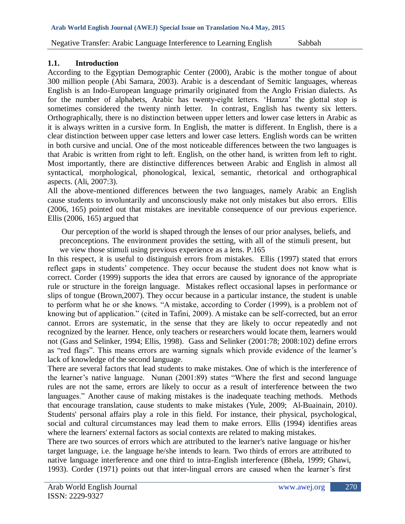## **1.1. Introduction**

According to the Egyptian Demographic Center (2000), Arabic is the mother tongue of about 300 million people (Abi Samara, 2003). Arabic is a descendant of Semitic languages, whereas English is an Indo-European language primarily originated from the Anglo Frisian dialects. As for the number of alphabets, Arabic has twenty-eight letters. "Hamza" the glottal stop is sometimes considered the twenty ninth letter. In contrast, English has twenty six letters. Orthographically, there is no distinction between upper letters and lower case letters in Arabic as it is always written in a cursive form. In English, the matter is different. In English, there is a clear distinction between upper case letters and lower case letters. English words can be written in both cursive and uncial. One of the most noticeable differences between the two languages is that Arabic is written from right to left. English, on the other hand, is written from left to right. Most importantly, there are distinctive differences between Arabic and English in almost all syntactical, morphological, phonological, lexical, semantic, rhetorical and orthographical aspects. (Ali, 2007:3).

All the above-mentioned differences between the two languages, namely Arabic an English cause students to involuntarily and unconsciously make not only mistakes but also errors. Ellis (2006, 165) pointed out that mistakes are inevitable consequence of our previous experience. Ellis (2006, 165) argued that

Our perception of the world is shaped through the lenses of our prior analyses, beliefs, and preconceptions. The environment provides the setting, with all of the stimuli present, but we view those stimuli using previous experience as a lens. P.165

In this respect, it is useful to distinguish errors from mistakes. Ellis (1997) stated that errors reflect gaps in students' competence. They occur because the student does not know what is correct. Corder (1999) supports the idea that errors are caused by ignorance of the appropriate rule or structure in the foreign language. Mistakes reflect occasional lapses in performance or slips of tongue (Brown,2007). They occur because in a particular instance, the student is unable to perform what he or she knows. "A mistake, according to Corder (1999), is a problem not of knowing but of application." (cited in Tafini, 2009). A mistake can be self-corrected, but an error cannot. Errors are systematic, in the sense that they are likely to occur repeatedly and not recognized by the learner. Hence, only teachers or researchers would locate them, learners would not (Gass and Selinker, 1994; Ellis, 1998). Gass and Selinker (2001:78; 2008:102) define errors as "red flags". This means errors are warning signals which provide evidence of the learner"s lack of knowledge of the second language.

There are several factors that lead students to make mistakes. One of which is the interference of the learner's native language. Nunan (2001:89) states "Where the first and second language rules are not the same, errors are likely to occur as a result of interference between the two languages." Another cause of making mistakes is the inadequate teaching methods. Methods that encourage translation, cause students to make mistakes (Yule, 2009; Al-Buainain, 2010*)*. Students' personal affairs play a role in this field. For instance, their physical, psychological, social and cultural circumstances may lead them to make errors. Ellis (1994) identifies areas where the learners' external factors as social contexts are related to making mistakes.

There are two sources of errors which are attributed to the learner's native language or his/her target language, i.e. the language he/she intends to learn. Two thirds of errors are attributed to native language interference and one third to intra-English interference (Bhela, 1999; Ghawi, 1993). Corder (1971) points out that inter-lingual errors are caused when the learner"s first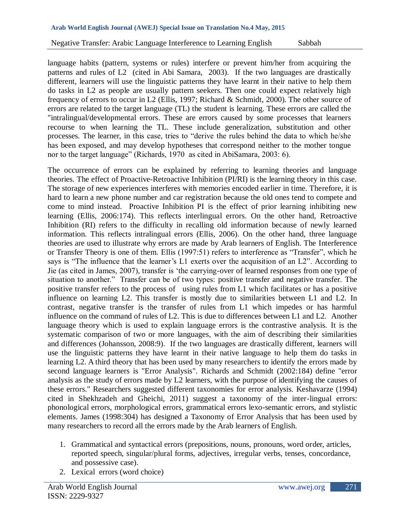language habits (pattern, systems or rules) interfere or prevent him/her from acquiring the patterns and rules of L2 (cited in Abi Samara, 2003). If the two languages are drastically different, learners will use the linguistic patterns they have learnt in their native to help them do tasks in L2 as people are usually pattern seekers. Then one could expect relatively high frequency of errors to occur in L2 (Ellis, 1997; Richard & Schmidt, 2000). The other source of errors are related to the target language (TL) the student is learning. These errors are called the "intralingual/developmental errors. These are errors caused by some processes that learners recourse to when learning the TL. These include generalization, substitution and other processes. The learner, in this case, tries to "derive the rules behind the data to which he/she has been exposed, and may develop hypotheses that correspond neither to the mother tongue nor to the target language" (Richards, 1970 as cited in AbiSamara, 2003: 6).

The occurrence of errors can be explained by referring to learning theories and language theories. The effect of Proactive-Retroactive Inhibition (PI/RI) is the learning theory in this case. The storage of new experiences interferes with memories encoded earlier in time. Therefore, it is hard to learn a new phone number and car registration because the old ones tend to compete and come to mind instead. Proactive Inhibition PI is the effect of prior learning inhibiting new learning (Ellis, 2006:174). This reflects interlingual errors. On the other hand, Retroactive Inhibition (RI) refers to the difficulty in recalling old information because of newly learned information. This reflects intralingual errors (Ellis, 2006). On the other hand, three language theories are used to illustrate why errors are made by Arab learners of English. The Interference or Transfer Theory is one of them. Ellis (1997:51) refers to interference as "Transfer", which he says is "The influence that the learner's L1 exerts over the acquisition of an L2". According to Jie (as cited in James, 2007), transfer is "the carrying-over of learned responses from one type of situation to another." Transfer can be of two types: positive transfer and negative transfer. The positive transfer refers to the process of using rules from L1 which facilitates or has a positive influence on learning L2. This transfer is mostly due to similarities between L1 and L2. In contrast, negative transfer is the transfer of rules from L1 which impedes or has harmful influence on the command of rules of L2. This is due to differences between L1 and L2. Another language theory which is used to explain language errors is the contrastive analysis. It is the systematic comparison of two or more languages, with the aim of describing their similarities and differences (Johansson, 2008:9). If the two languages are drastically different, learners will use the linguistic patterns they have learnt in their native language to help them do tasks in learning L2. A third theory that has been used by many researchers to identify the errors made by second language learners is "Error Analysis". Richards and Schmidt (2002:184) define "error analysis as the study of errors made by L2 learners, with the purpose of identifying the causes of these errors." Researchers suggested different taxonomies for error analysis. Keshavarze (1994) cited in Shekhzadeh and Gheichi, 2011) suggest a taxonomy of the inter-lingual errors: phonological errors, morphological errors, grammatical errors lexo-semantic errors, and stylistic elements. James (1998:304) has designed a Taxonomy of Error Analysis that has been used by many researchers to record all the errors made by the Arab learners of English.

- 1. Grammatical and syntactical errors (prepositions, nouns, pronouns, word order, articles, reported speech, singular/plural forms, adjectives, irregular verbs, tenses, concordance, and possessive case).
- 2. Lexical errors (word choice)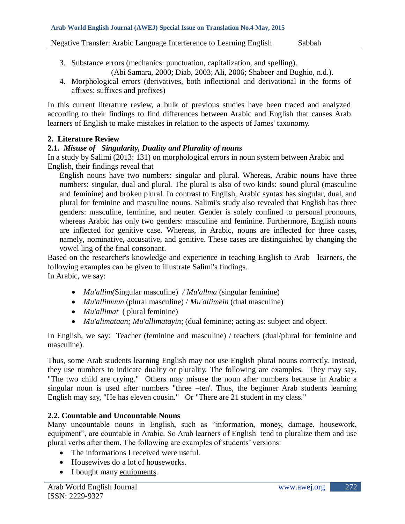- 3. Substance errors (mechanics: punctuation, capitalization, and spelling). (Abi Samara, 2000; Diab, 2003; Ali, 2006; Shabeer and Bughio, n.d.).
- 4. Morphological errors (derivatives, both inflectional and derivational in the forms of affixes: suffixes and prefixes)

In this current literature review, a bulk of previous studies have been traced and analyzed according to their findings to find differences between Arabic and English that causes Arab learners of English to make mistakes in relation to the aspects of James' taxonomy.

## **2. Literature Review**

## **2.1.** *Misuse of Singularity, Duality and Plurality of nouns*

In a study by Salimi (2013: 131) on morphological errors in noun system between Arabic and English, their findings reveal that

 English nouns have two numbers: singular and plural. Whereas, Arabic nouns have three numbers: singular, dual and plural. The plural is also of two kinds: sound plural (masculine and feminine) and broken plural. In contrast to English, Arabic syntax has singular, dual, and plural for feminine and masculine nouns. Salimi's study also revealed that English has three genders: masculine, feminine, and neuter. Gender is solely confined to personal pronouns, whereas Arabic has only two genders: masculine and feminine. Furthermore, English nouns are inflected for genitive case. Whereas, in Arabic, nouns are inflected for three cases, namely, nominative, accusative, and genitive. These cases are distinguished by changing the vowel ling of the final consonant.

Based on the researcher's knowledge and experience in teaching English to Arab learners, the following examples can be given to illustrate Salimi's findings. In Arabic, we say:

- *Mu'allim(*Singular masculine) */ Mu'allma* (singular feminine)
- *Mu'allimuun* (plural masculine) / *Mu'allimein* (dual masculine)
- *Mu'allimat* ( plural feminine)
- *Mu'alimataan; Mu'allimatayin*; (dual feminine; acting as: subject and object.

In English, we say: Teacher (feminine and masculine) / teachers (dual/plural for feminine and masculine).

Thus, some Arab students learning English may not use English plural nouns correctly. Instead, they use numbers to indicate duality or plurality. The following are examples. They may say, "The two child are crying." Others may misuse the noun after numbers because in Arabic a singular noun is used after numbers "three –ten'. Thus, the beginner Arab students learning English may say, "He has eleven cousin." Or "There are 21 student in my class."

## **2.2. Countable and Uncountable Nouns**

Many uncountable nouns in English, such as "information, money, damage, housework, equipment", are countable in Arabic. So Arab learners of English tend to pluralize them and use plural verbs after them. The following are examples of students' versions:

- The informations I received were useful.
- Housewives do a lot of houseworks.
- I bought many equipments.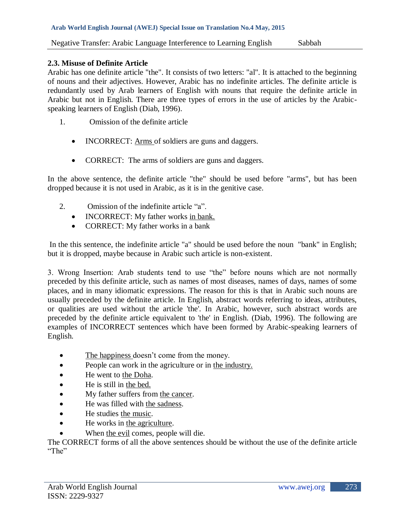## **2.3. Misuse of Definite Article**

Arabic has one definite article "the". It consists of two letters: "al". It is attached to the beginning of nouns and their adjectives. However, Arabic has no indefinite articles. The definite article is redundantly used by Arab learners of English with nouns that require the definite article in Arabic but not in English. There are three types of errors in the use of articles by the Arabicspeaking learners of English (Diab, 1996).

- 1. Omission of the definite article
	- INCORRECT: Arms of soldiers are guns and daggers.
	- CORRECT: The arms of soldiers are guns and daggers.

In the above sentence, the definite article "the" should be used before "arms", but has been dropped because it is not used in Arabic, as it is in the genitive case.

- 2. Omission of the indefinite article "a".
	- INCORRECT: My father works in bank.
	- CORRECT: My father works in a bank

In the this sentence, the indefinite article "a" should be used before the noun "bank" in English; but it is dropped, maybe because in Arabic such article is non-existent.

3. Wrong Insertion: Arab students tend to use "the" before nouns which are not normally preceded by this definite article, such as names of most diseases, names of days, names of some places, and in many idiomatic expressions. The reason for this is that in Arabic such nouns are usually preceded by the definite article. In English, abstract words referring to ideas, attributes, or qualities are used without the article 'the'. In Arabic, however, such abstract words are preceded by the definite article equivalent to 'the' in English. (Diab, 1996). The following are examples of INCORRECT sentences which have been formed by Arabic-speaking learners of English.

- The happiness doesn't come from the money.
- People can work in the agriculture or in the industry.
- He went to the Doha.
- He is still in the bed.
- My father suffers from the cancer.
- He was filled with the sadness.
- He studies the music.
- He works in the agriculture.
- When the evil comes, people will die.

The CORRECT forms of all the above sentences should be without the use of the definite article "The"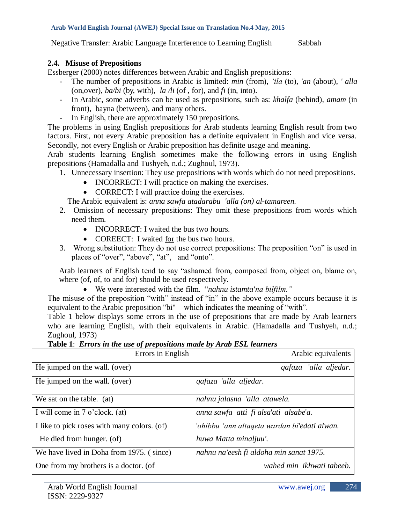#### **2.4. Misuse of Prepositions**

Essberger (2000) notes differences between Arabic and English prepositions:

- The number of prepositions in Arabic is limited: *min* (from), *"ila* (to), *'an* (about), *' alla* (on,over), *ba/bi* (by, with), *la /li* (of , for), and *fi* (in, into).
- In Arabic, some adverbs can be used as prepositions, such as: *khalfa* (behind), *amam* (in front), bayna (between), and many others.
- In English, there are approximately 150 prepositions.

The problems in using English prepositions for Arab students learning English result from two factors. First, not every Arabic preposition has a definite equivalent in English and vice versa. Secondly, not every English or Arabic preposition has definite usage and meaning.

Arab students learning English sometimes make the following errors in using English prepositions (Hamadalla and Tushyeh, n.d.; Zughoul, 1973).

- 1. Unnecessary insertion: They use prepositions with words which do not need prepositions.
	- INCORRECT: I will practice on making the exercises.
	- CORRECT: I will practice doing the exercises.

The Arabic equivalent is: *anna sawfa atadarabu 'alla (on) al-tamareen.*

- 2. Omission of necessary prepositions: They omit these prepositions from words which need them.
	- INCORRECT: I waited the bus two hours.
	- COREECT: I waited for the bus two hours.
- 3. Wrong substitution: They do not use correct prepositions: The preposition "on" is used in places of "over", "above", "at", and "onto".

Arab learners of English tend to say "ashamed from, composed from, object on, blame on, where (of, of, to and for) should be used respectively.

We were interested with the film. "*nahnu istamta'na bilfilm."*

The misuse of the preposition "with" instead of "in" in the above example occurs because it is equivalent to the Arabic preposition "bi" – which indicates the meaning of "with".

Table 1 below displays some errors in the use of prepositions that are made by Arab learners who are learning English, with their equivalents in Arabic. (Hamadalla and Tushyeh, n.d.; Zughoul, 1973)

|  |  | Table 1: Errors in the use of prepositions made by Arab ESL learners |
|--|--|----------------------------------------------------------------------|
|  |  |                                                                      |

| Errors in English                           | Arabic equivalents                           |  |
|---------------------------------------------|----------------------------------------------|--|
| He jumped on the wall. (over)               | 'alla aljedar.<br>qafaza                     |  |
| He jumped on the wall. (over)               | gafaza 'alla aljedar.                        |  |
| We sat on the table. (at)                   | nahnu jalasna 'alla atawela.                 |  |
| I will come in 7 o'clock. (at)              | anna sawfa atti fi alsa'ati alsabe'a.        |  |
| I like to pick roses with many colors. (of) | 'ohibbu 'ann altaqeta wardan bi'edati alwan. |  |
| He died from hunger. (of)                   | huwa Matta minaljuu'.                        |  |
| We have lived in Doha from 1975. (since)    | nahnu na'eesh fi aldoha min sanat 1975.      |  |
| One from my brothers is a doctor. (of       | wahed min ikhwati tabeeb.                    |  |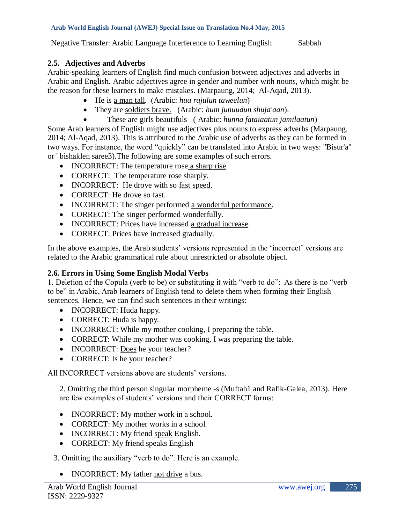## **2.5. Adjectives and Adverbs**

Arabic-speaking learners of English find much confusion between adjectives and adverbs in Arabic and English. Arabic adjectives agree in gender and number with nouns, which might be the reason for these learners to make mistakes. (Marpaung, 2014; Al-Aqad, 2013).

- He is a man tall. (Arabic: *hua rajulun taweelun*)
- They are soldiers brave. (Arabic: *hum junuudun shuja'aan*).
	- These are girls beautifuls ( Arabic: *hunna fataiaatun jamilaatun*)

Some Arab learners of English might use adjectives plus nouns to express adverbs (Marpaung, 2014; Al-Aqad, 2013). This is attributed to the Arabic use of adverbs as they can be formed in two ways. For instance, the word "quickly" can be translated into Arabic in two ways: "Bisur'a" or ' bishaklen saree3).The following are some examples of such errors.

- INCORRECT: The temperature rose a sharp rise.
- CORRECT: The temperature rose sharply.
- INCORRECT: He drove with so fast speed.
- CORRECT: He drove so fast.
- INCORRECT: The singer performed a wonderful performance.
- CORRECT: The singer performed wonderfully.
- INCORRECT: Prices have increased a gradual increase.
- CORRECT: Prices have increased gradually.

In the above examples, the Arab students' versions represented in the 'incorrect' versions are related to the Arabic grammatical rule about unrestricted or absolute object.

# **2.6. Errors in Using Some English Modal Verbs**

1. Deletion of the Copula (verb to be) or substituting it with "verb to do": As there is no "verb to be" in Arabic, Arab learners of English tend to delete them when forming their English sentences. Hence, we can find such sentences in their writings:

- INCORRECT: Huda happy.
- CORRECT: Huda is happy.
- INCORRECT: While my mother cooking, I preparing the table.
- CORRECT: While my mother was cooking, I was preparing the table.
- INCORRECT: Does he your teacher?
- CORRECT: Is he your teacher?

All INCORRECT versions above are students' versions.

2. Omitting the third person singular morpheme -s (Muftah1 and Rafik-Galea, 2013). Here are few examples of students' versions and their CORRECT forms:

- INCORRECT: My mother work in a school.
- CORRECT: My mother works in a school.
- INCORRECT: My friend speak English*.*
- CORRECT: My friend speaks English

3. Omitting the auxiliary "verb to do". Here is an example.

• INCORRECT: My father not drive a bus.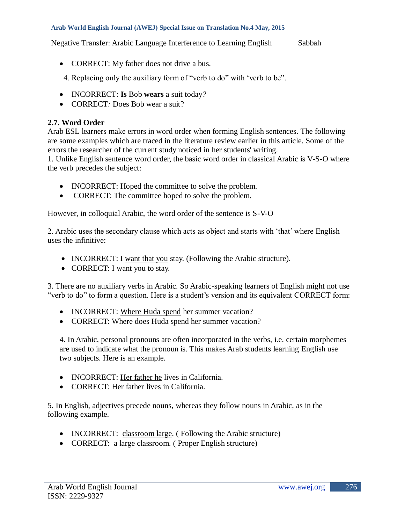#### **Arab World English Journal (AWEJ) Special Issue on Translation No.4 May, 2015**

Negative Transfer: Arabic Language Interference to Learning English Sabbah

- CORRECT: My father does not drive a bus.
- 4. Replacing only the auxiliary form of "verb to do" with "verb to be".
- INCORRECT: **Is** Bob **wears** a suit today*?*
- CORRECT*:* Does Bob wear a suit?

## **2.7. Word Order**

Arab ESL learners make errors in word order when forming English sentences. The following are some examples which are traced in the literature review earlier in this article. Some of the errors the researcher of the current study noticed in her students' writing.

1. Unlike English sentence word order, the basic word order in classical Arabic is V-S-O where the verb precedes the subject:

- INCORRECT: Hoped the committee to solve the problem.
- CORRECT: The committee hoped to solve the problem.

However, in colloquial Arabic, the word order of the sentence is S-V-O

2. Arabic uses the secondary clause which acts as object and starts with "that" where English uses the infinitive:

- INCORRECT: I want that you stay. (Following the Arabic structure).
- CORRECT: I want you to stay.

3. There are no auxiliary verbs in Arabic. So Arabic-speaking learners of English might not use "verb to do" to form a question. Here is a student's version and its equivalent CORRECT form:

- INCORRECT: Where Huda spend her summer vacation?
- CORRECT: Where does Huda spend her summer vacation?

4. In Arabic, personal pronouns are often incorporated in the verbs, i.e. certain morphemes are used to indicate what the pronoun is. This makes Arab students learning English use two subjects. Here is an example.

- INCORRECT: Her father he lives in California.
- CORRECT: Her father lives in California.

5. In English, adjectives precede nouns, whereas they follow nouns in Arabic, as in the following example.

- INCORRECT: classroom large. (Following the Arabic structure)
- CORRECT: a large classroom. (Proper English structure)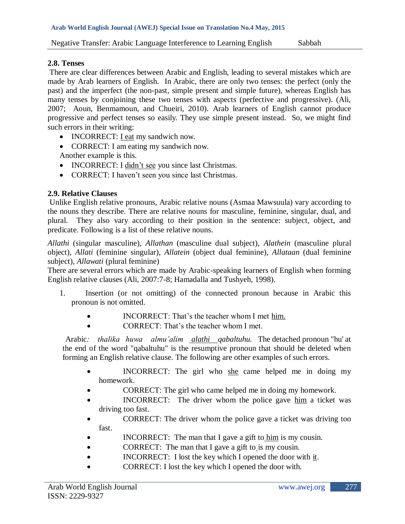## **2.8. Tenses**

There are clear differences between Arabic and English, leading to several mistakes which are made by Arab learners of English. In Arabic, there are only two tenses: the perfect (only the past) and the imperfect (the non-past, simple present and simple future), whereas English has many tenses by conjoining these two tenses with aspects (perfective and progressive). (Ali, 2007; Aoun, Benmamoun, and Chueiri, 2010). Arab learners of English cannot produce progressive and perfect tenses so easily. They use simple present instead. So, we might find such errors in their writing:

- INCORRECT: I eat my sandwich now.
- CORRECT: I am eating my sandwich now. Another example is this.
- INCORRECT: I didn't see you since last Christmas.
- CORRECT: I haven't seen you since last Christmas.

## **2.9. Relative Clauses**

Unlike English relative pronouns, Arabic relative nouns (Asmaa Mawsuula) vary according to the nouns they describe. There are relative nouns for masculine, feminine, singular, dual, and plural. They also vary according to their position in the sentence: subject, object, and predicate. Following is a list of these relative nouns.

*Allathi* (singular masculine), *Allathan* (masculine dual subject), *Alathein* (masculine plural object), *Allati* (feminine singular), *Allatein* (object dual feminine), *Allataan* (dual feminine subject), *Allawati* (plural feminine)

There are several errors which are made by Arabic-speaking learners of English when forming English relative clauses (Ali, 2007:7-8; Hamadalla and Tushyeh, 1998).

- 1. Insertion (or not omitting) of the connected pronoun because in Arabic this pronoun is not omitted.
	- INCORRECT: That"s the teacher whom I met him.
	- CORRECT: That's the teacher whom I met.

 Arabic*: thalika huwa almu"alim alathi qabaltuhu.* The detached pronoun "hu' at the end of the word "qabaltuhu" is the resumptive pronoun that should be deleted when forming an English relative clause. The following are other examples of such errors.

- INCORRECT: The girl who she came helped me in doing my homework.
- CORRECT: The girl who came helped me in doing my homework.
- INCORRECT: The driver whom the police gave him a ticket was driving too fast.
- CORRECT: The driver whom the police gave a ticket was driving too fast.
- INCORRECT: The man that I gave a gift to him is my cousin.
- CORRECT: The man that I gave a gift to is my cousin.
- INCORRECT: I lost the key which I opened the door with it.
- CORRECT: I lost the key which I opened the door with.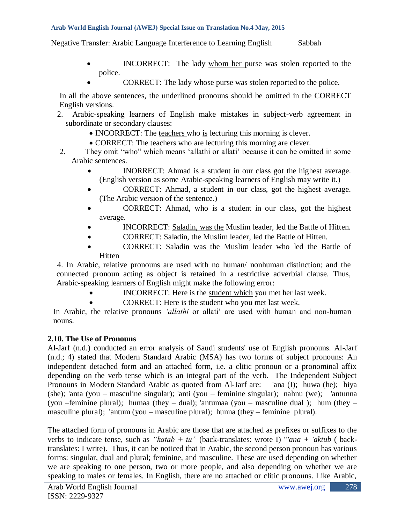#### **Arab World English Journal (AWEJ) Special Issue on Translation No.4 May, 2015**

Negative Transfer: Arabic Language Interference to Learning English Sabbah

- INCORRECT: The lady whom her purse was stolen reported to the police.
	- CORRECT: The lady whose purse was stolen reported to the police.

In all the above sentences, the underlined pronouns should be omitted in the CORRECT English versions.

- 2. Arabic-speaking learners of English make mistakes in subject-verb agreement in subordinate or secondary clauses:
	- INCORRECT: The teachers who is lecturing this morning is clever.
	- CORRECT: The teachers who are lecturing this morning are clever.
- 2. They omit "who" which means "allathi or allati" because it can be omitted in some Arabic sentences.
	- INORRECT: Ahmad is a student in <u>our class got</u> the highest average. (English version as some Arabic-speaking learners of English may write it.)
	- CORRECT: Ahmad, a student in our class, got the highest average. (The Arabic version of the sentence.)
	- CORRECT: Ahmad, who is a student in our class, got the highest average.
	- INCORRECT: Saladin, was the Muslim leader, led the Battle of Hitten.
	- CORRECT: Saladin, the Muslim leader, led the Battle of Hitten.
	- CORRECT: Saladin was the Muslim leader who led the Battle of **Hitten**

 4. In Arabic, relative pronouns are used with no human/ nonhuman distinction; and the connected pronoun acting as object is retained in a restrictive adverbial clause. Thus, Arabic-speaking learners of English might make the following error:

- INCORRECT: Here is the student which you met her last week.
- CORRECT: Here is the student who you met last week.

In Arabic, the relative pronouns *'allathi* or allati' are used with human and non-human nouns.

# **2.10. The Use of Pronouns**

Al-Jarf (n.d.) conducted an error analysis of Saudi students' use of English pronouns. Al-Jarf (n.d.; 4) stated that Modern Standard Arabic (MSA) has two forms of subject pronouns: An independent detached form and an attached form, i.e. a clitic pronoun or a pronominal affix depending on the verb tense which is an integral part of the verb. The Independent Subject Pronouns in Modern Standard Arabic as quoted from Al-Jarf are: 'ana (I); huwa (he); hiya (she); 'anta (you – masculine singular); 'anti (you – feminine singular); nahnu (we); 'antunna (you –feminine plural); humaa (they – dual); 'antumaa (you – masculine dual ); hum (they – masculine plural); 'antum (you – masculine plural); hunna (they – feminine plural).

The attached form of pronouns in Arabic are those that are attached as prefixes or suffixes to the verbs to indicate tense, such as *"katab + tu"* (back-translates: wrote I) "*'ana + 'aktub* ( backtranslates: I write). Thus, it can be noticed that in Arabic, the second person pronoun has various forms: singular, dual and plural; feminine, and masculine. These are used depending on whether we are speaking to one person, two or more people, and also depending on whether we are speaking to males or females. In English, there are no attached or clitic pronouns. Like Arabic,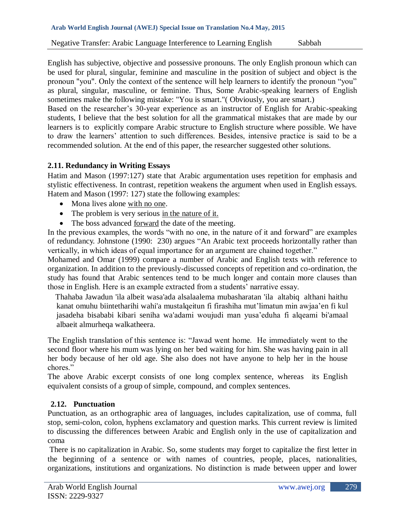English has subjective, objective and possessive pronouns. The only English pronoun which can be used for plural, singular, feminine and masculine in the position of subject and object is the pronoun "you". Only the context of the sentence will help learners to identify the pronoun "you" as plural, singular, masculine, or feminine. Thus, Some Arabic-speaking learners of English sometimes make the following mistake: "You is smart."( Obviously, you are smart.)

Based on the researcher's 30-year experience as an instructor of English for Arabic-speaking students, I believe that the best solution for all the grammatical mistakes that are made by our learners is to explicitly compare Arabic structure to English structure where possible. We have to draw the learners" attention to such differences. Besides, intensive practice is said to be a recommended solution. At the end of this paper, the researcher suggested other solutions.

# **2.11. Redundancy in Writing Essays**

Hatim and Mason (1997:127) state that Arabic argumentation uses repetition for emphasis and stylistic effectiveness. In contrast, repetition weakens the argument when used in English essays. Hatem and Mason (1997: 127) state the following examples:

- Mona lives alone with no one.
- The problem is very serious in the nature of it.
- The boss advanced forward the date of the meeting.

In the previous examples, the words "with no one, in the nature of it and forward" are examples of redundancy. Johnstone (1990: 230) argues "An Arabic text proceeds horizontally rather than vertically, in which ideas of equal importance for an argument are chained together."

Mohamed and Omar (1999) compare a number of Arabic and English texts with reference to organization. In addition to the previously-discussed concepts of repetition and co-ordination, the study has found that Arabic sentences tend to be much longer and contain more clauses than those in English. Here is an example extracted from a students' narrative essay.

Thahaba Jawadun 'ila albeit wasa'ada alsalaalema mubasharatan 'ila altabiq althani haithu kanat omuhu biintetharihi wahi'a mustalqeitun fi firashiha mut'limatun min awjaa'en fi kul jasadeha bisababi kibari seniha wa'adami woujudi man yusa"eduha fi alqeami bi'amaal albaeit almurheqa walkatheera.

The English translation of this sentence is: "Jawad went home. He immediately went to the second floor where his mum was lying on her bed waiting for him. She was having pain in all her body because of her old age. She also does not have anyone to help her in the house chores."

The above Arabic excerpt consists of one long complex sentence, whereas its English equivalent consists of a group of simple, compound, and complex sentences.

# **2.12. Punctuation**

Punctuation, as an orthographic area of languages, includes capitalization, use of comma, full stop, semi-colon, colon, hyphens exclamatory and question marks. This current review is limited to discussing the differences between Arabic and English only in the use of capitalization and coma

There is no capitalization in Arabic. So, some students may forget to capitalize the first letter in the beginning of a sentence or with names of countries, people, places, nationalities, organizations, institutions and organizations. No distinction is made between upper and lower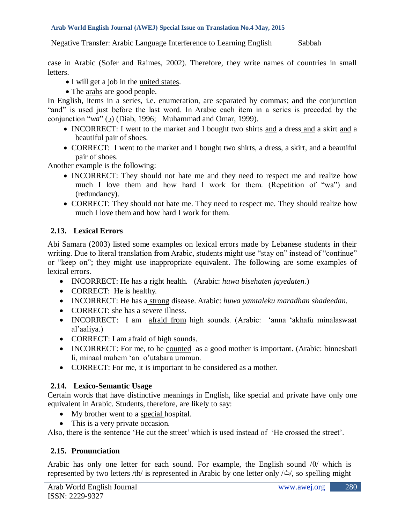case in Arabic (Sofer and Raimes, 2002). Therefore, they write names of countries in small letters.

- I will get a job in the united states.
- The arabs are good people.

In English, items in a series, i.e. enumeration, are separated by commas; and the conjunction "and" is used just before the last word. In Arabic each item in a series is preceded by the conjunction "*wa*" (و) (Diab, 1996; Muhammad and Omar, 1999).

- INCORRECT: I went to the market and I bought two shirts and a dress and a skirt and a beautiful pair of shoes.
- CORRECT: I went to the market and I bought two shirts, a dress, a skirt, and a beautiful pair of shoes.

Another example is the following:

- INCORRECT: They should not hate me and they need to respect me and realize how much I love them and how hard I work for them. (Repetition of "wa") and (redundancy).
- CORRECT: They should not hate me. They need to respect me. They should realize how much I love them and how hard I work for them.

# **2.13. Lexical Errors**

Abi Samara (2003) listed some examples on lexical errors made by Lebanese students in their writing. Due to literal translation from Arabic, students might use "stay on" instead of "continue" or "keep on"; they might use inappropriate equivalent. The following are some examples of lexical errors.

- INCORRECT: He has a right health. (Arabic: *huwa bisehaten jayedaten.*)
- CORRECT: He is healthy.
- INCORRECT: He has a strong disease. Arabic: *huwa yamtaleku maradhan shadeedan.*
- CORRECT: she has a severe illness.
- INCORRECT: I am afraid from high sounds. (Arabic: 'anna 'akhafu minalaswaat al"aaliya.)
- CORRECT: I am afraid of high sounds.
- INCORRECT: For me, to be counted as a good mother is important. (Arabic: binnesbati li, minaal muhem 'an o'utabara ummun.
- CORRECT: For me, it is important to be considered as a mother.

# **2.14. Lexico-Semantic Usage**

Certain words that have distinctive meanings in English, like special and private have only one equivalent in Arabic. Students, therefore, are likely to say:

- My brother went to a special hospital.
- This is a very private occasion.

Also, there is the sentence 'He cut the street' which is used instead of 'He crossed the street'.

# **2.15. Pronunciation**

Arabic has only one letter for each sound. For example, the English sound  $\theta$  which is represented by two letters /th/ is represented in Arabic by one letter only /ث/, so spelling might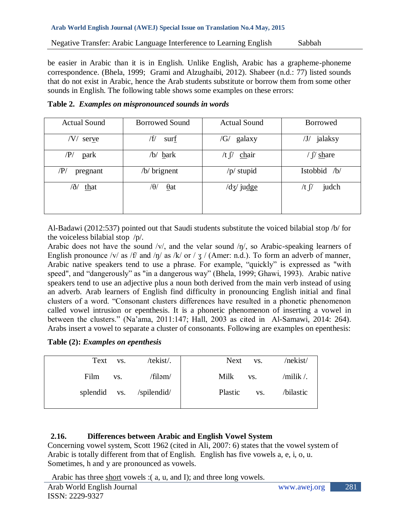be easier in Arabic than it is in English. Unlike English, Arabic has a grapheme-phoneme correspondence. (Bhela, 1999; Grami and Alzughaibi, 2012). Shabeer (n.d.: 77) listed sounds that do not exist in Arabic, hence the Arab students substitute or borrow them from some other sounds in English. The following table shows some examples on these errors:

|  |  |  | Table 2. Examples on mispronounced sounds in words |  |
|--|--|--|----------------------------------------------------|--|
|--|--|--|----------------------------------------------------|--|

| <b>Actual Sound</b>         | <b>Borrowed Sound</b>       | <b>Actual Sound</b>  | <b>Borrowed</b>                                  |
|-----------------------------|-----------------------------|----------------------|--------------------------------------------------|
| /V/<br>serve                | /f/<br>surf                 | /G/<br>galaxy        | jalaksy<br>$\mathcal{J}/\mathcal{J}/\mathcal{J}$ |
| $\langle P \rangle$<br>park | /b/ <u>b</u> ark            | /t $\int$<br>chair   | $\int$ share                                     |
| $/\!{\rm P}/$<br>pregnant   | $/b$ brignent               | $/p/$ stupid         | Istobbid /b/                                     |
| /ð/<br>that                 | / $\theta$ /<br>$\theta$ at | $\frac{dg}{j}$ judge | judch<br>/t $\int$                               |

Al-Badawi (2012:537) pointed out that Saudi students substitute the voiced bilabial stop /b/ for the voiceless bilabial stop /p/.

Arabic does not have the sound  $/v/$ , and the velar sound  $/\eta/$ , so Arabic-speaking learners of English pronounce /v/ as /f/ and /ŋ/ as /k/ or /  $\frac{1}{3}$  / (Amer: n.d.). To form an adverb of manner, Arabic native speakers tend to use a phrase. For example, "quickly" is expressed as "with speed", and "dangerously" as "in a dangerous way" (Bhela, 1999; Ghawi, 1993). Arabic native speakers tend to use an adjective plus a noun both derived from the main verb instead of using an adverb. Arab learners of English find difficulty in pronouncing English initial and final clusters of a word. "Consonant clusters differences have resulted in a phonetic phenomenon called vowel intrusion or epenthesis. It is a phonetic phenomenon of inserting a vowel in between the clusters." (Na"ama, 2011:147; Hall, 2003 as cited in Al-Samawi, 2014: 264). Arabs insert a vowel to separate a cluster of consonants. Following are examples on epenthesis:

|  |  |  | Table (2): Examples on epenthesis |
|--|--|--|-----------------------------------|
|--|--|--|-----------------------------------|

|      | Text vs.    | /tekist/.                | Next<br>VS.    | /nekist/        |
|------|-------------|--------------------------|----------------|-----------------|
| Film | $\cdot$ vs. | /filəm/                  | Milk<br>VS.    | $/$ milik $/$ . |
|      |             | splendid vs. /spilendid/ | Plastic<br>VS. | /bilastic       |
|      |             |                          |                |                 |

# **2.16. Differences between Arabic and English Vowel System**

Concerning vowel system, Scott 1962 (cited in Ali, 2007: 6) states that the vowel system of Arabic is totally different from that of English. English has five vowels a, e, i, o, u. Sometimes, h and y are pronounced as vowels.

Arabic has three short vowels : (a, u, and I); and three long vowels.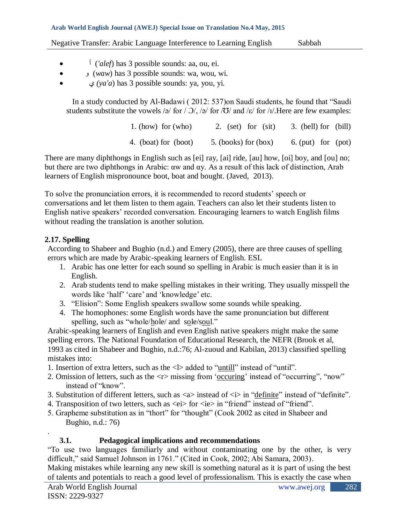- <sup>*i*</sup> *('alef)* has 3 possible sounds: aa, ou, ei.
- و) *waw*) has 3 possible sounds: wa, wou, wi.
- ي*) ya'a*) has 3 possible sounds: ya, you, yi.

In a study conducted by Al-Badawi ( 2012: 537)on Saudi students, he found that "Saudi students substitute the vowels /ə/ for /  $\frac{1}{2}$ /, /ə/ for / $\frac{1}{2}$ / and / $\varepsilon$ / for / $\frac{1}{2}$ . Here are few examples:

| 1. (how) for $(who)$ | 2. $(set)$ for $(sit)$ | 3. (bell) for (bill) |  |
|----------------------|------------------------|----------------------|--|
| 4. (boat) for (boot) | $5.$ (books) for (box) | $6.$ (put) for (pot) |  |

There are many diphthongs in English such as [ei] ray, [ai] ride, [au] how, [oi] boy, and [ou] no; but there are two diphthongs in Arabic: αw and αy. As a result of this lack of distinction, Arab learners of English mispronounce boot, boat and bought. (Javed, 2013).

To solve the pronunciation errors, it is recommended to record students" speech or conversations and let them listen to them again. Teachers can also let their students listen to English native speakers' recorded conversation. Encouraging learners to watch English films without reading the translation is another solution.

# **2.17. Spelling**

According to Shabeer and Bughio (n.d.) and Emery (2005), there are three causes of spelling errors which are made by Arabic-speaking learners of English. ESL

- 1. Arabic has one letter for each sound so spelling in Arabic is much easier than it is in English.
- 2. Arab students tend to make spelling mistakes in their writing. They usually misspell the words like 'half' 'care' and 'knowledge' etc.
- 3. "Elision": Some English speakers swallow some sounds while speaking.
- 4. The homophones: some English words have the same pronunciation but different spelling, such as "whole/hole/ and sole/soul."

Arabic-speaking learners of English and even English native speakers might make the same spelling errors. The National Foundation of Educational Research, the NEFR (Brook et al, 1993 as cited in Shabeer and Bughio, n.d.:76; Al-zuoud and Kabilan, 2013) classified spelling mistakes into:

- 1. Insertion of extra letters, such as the <l> added to "untill" instead of "until".
- 2. Omission of letters, such as the  $\langle r \rangle$  missing from 'occurring' instead of "occurring", "now" instead of "know".
- 3. Substitution of different letters, such as <a> instead of <i> in "definite" instead of "definite".
- 4. Transposition of two letters, such as  $\langle e \rangle$  for  $\langle ie \rangle$  in "friend" instead of "friend".
- 5. Grapheme substitution as in "thort" for "thought" (Cook 2002 as cited in Shabeer and Bughio, n.d.: 76)

# **3.1. Pedagogical implications and recommendations**

"To use two languages familiarly and without contaminating one by the other, is very difficult," said Samuel Johnson in 1761." (Cited in Cook, 2002; Abi Samara, 2003).

Making mistakes while learning any new skill is something natural as it is part of using the best of talents and potentials to reach a good level of professionalism. This is exactly the case when

.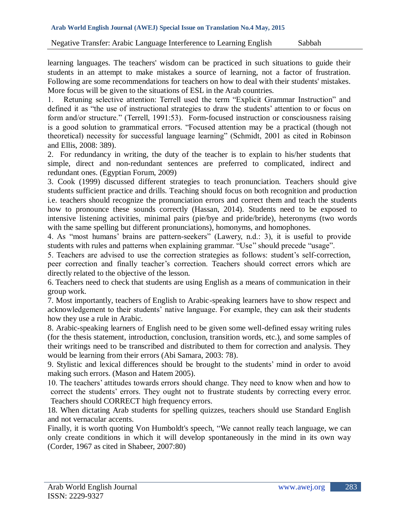learning languages. The teachers' wisdom can be practiced in such situations to guide their students in an attempt to make mistakes a source of learning, not a factor of frustration. Following are some recommendations for teachers on how to deal with their students' mistakes. More focus will be given to the situations of ESL in the Arab countries.

1. Retuning selective attention: Terrell used the term "Explicit Grammar Instruction" and defined it as "the use of instructional strategies to draw the students' attention to or focus on form and/or structure." (Terrell, 1991:53). Form-focused instruction or consciousness raising is a good solution to grammatical errors. "Focused attention may be a practical (though not theoretical) necessity for successful language learning" (Schmidt, 2001 as cited in Robinson and Ellis, 2008: 389).

2. For redundancy in writing, the duty of the teacher is to explain to his/her students that simple, direct and non-redundant sentences are preferred to complicated, indirect and redundant ones. (Egyptian Forum, 2009)

3. Cook (1999) discussed different strategies to teach pronunciation. Teachers should give students sufficient practice and drills. Teaching should focus on both recognition and production i.e. teachers should recognize the pronunciation errors and correct them and teach the students how to pronounce these sounds correctly (Hassan, 2014). Students need to be exposed to intensive listening activities, minimal pairs (pie/bye and pride/bride), heteronyms (two words with the same spelling but different pronunciations), homonyms, and homophones.

4. As "most humans" brains are pattern-seekers" (Lawery, n.d.: 3), it is useful to provide students with rules and patterns when explaining grammar. "Use" should precede "usage".

5. Teachers are advised to use the correction strategies as follows: student"s self-correction, peer correction and finally teacher"s correction. Teachers should correct errors which are directly related to the objective of the lesson.

6. Teachers need to check that students are using English as a means of communication in their group work.

7. Most importantly, teachers of English to Arabic-speaking learners have to show respect and acknowledgement to their students' native language. For example, they can ask their students how they use a rule in Arabic.

8. Arabic-speaking learners of English need to be given some well-defined essay writing rules (for the thesis statement, introduction, conclusion, transition words, etc.), and some samples of their writings need to be transcribed and distributed to them for correction and analysis. They would be learning from their errors (Abi Samara, 2003: 78).

9. Stylistic and lexical differences should be brought to the students" mind in order to avoid making such errors. (Mason and Hatem 2005).

10. The teachers" attitudes towards errors should change. They need to know when and how to correct the students' errors. They ought not to frustrate students by correcting every error. Teachers should CORRECT high frequency errors.

18. When dictating Arab students for spelling quizzes, teachers should use Standard English and not vernacular accents.

Finally, it is worth quoting Von Humboldt's speech, "We cannot really teach language, we can only create conditions in which it will develop spontaneously in the mind in its own way (Corder, 1967 as cited in Shabeer, 2007:80)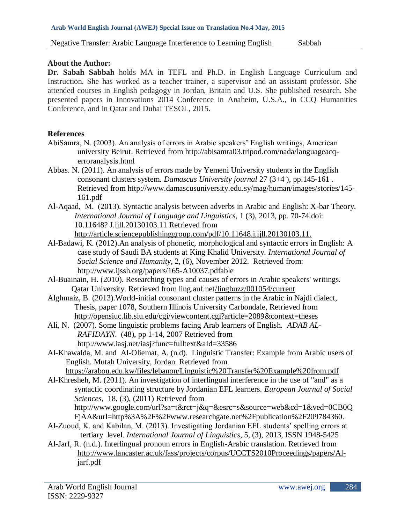### **About the Author:**

**Dr. Sabah Sabbah** holds MA in TEFL and Ph.D. in English Language Curriculum and Instruction. She has worked as a teacher trainer, a supervisor and an assistant professor. She attended courses in English pedagogy in Jordan, Britain and U.S. She published research. She presented papers in Innovations 2014 Conference in Anaheim, U.S.A., in CCQ Humanities Conference, and in Qatar and Dubai TESOL, 2015.

## **References**

- AbiSamra, N. (2003). An analysis of errors in Arabic speakers" English writings, American university Beirut. Retrieved from [http://abisamra03.tripod.com/nada/languageacq](http://abisamra03.tripod.com/nada/languageacq-erroranalysis.html)[erroranalysis.html](http://abisamra03.tripod.com/nada/languageacq-erroranalysis.html)
- Abbas. N. (2011). An analysis of errors made by Yemeni University students in the English consonant clusters system. *Damascus University journal* 27 (3+4 ), pp.145-161 . Retrieved from [http://www.damascusuniversity.edu.sy/mag/human/images/stories/145-](http://www.damascusuniversity.edu.sy/mag/human/images/stories/145-161.pdf) 161.pdf
- Al-Aqaad, M. (2013). Syntactic analysis between adverbs in Arabic and English: X-bar Theory. *International Journal of Language and Linguistics*, 1 (3), 2013, pp. 70-74.doi: 10.11648? J.ijll.20130103.11 Retrieved from http://article.sciencepublishinggroup.com/pdf/10.11648.j.ijll.20130103.11.
- Al-Badawi, K. (2012).An analysis of phonetic, morphological and syntactic errors in English: A case study of Saudi BA students at King Khalid University. *International Journal of Social Science and Humanity*, 2, (6), November 2012. Retrieved from: <http://www.ijssh.org/papers/165-A10037.pdfable>
- Al-Buainain, H. (2010). Researching types and causes of errors in Arabic speakers' writings. Qatar University. Retrieved from ling.auf.net/lingbuzz/001054/current
- Alghmaiz, B. (2013).World-initial consonant cluster patterns in the Arabic in Najdi dialect, Thesis, paper 1078, Southern Illinois University Carbondale, Retrieved from [http://opensiuc.lib.siu.edu/cgi/viewcontent.cgi?article=2089&context=theses](http://opensiuc.lib.siu.edu/cgi/viewcontent.cgi?article=2089&context=theses%20)
- Ali, N. (2007). Some linguistic problems facing Arab learners of English. *ADAB AL-RAFIDAYN*. (48), pp 1-14, 2007 Retrieved from [http://www.iasj.net/iasj?func=fulltext&aId=33586](http://www.iasj.net/iasj?func=fulltext&aId=33586%20)
- Al-Khawalda, M. and Al-Oliemat, A. (n.d). Linguistic Transfer: Example from Arabic users of English. Mutah University, Jordan. Retrieved from
	- <https://arabou.edu.kw/files/lebanon/Linguistic%20Transfer%20Example%20from.pdf>
- Al-Khresheh, M. (2011). An investigation of interlingual interference in the use of "and" as a syntactic coordinating structure by Jordanian EFL learners. *European Journal of Social Sciences*, 18, (3), (2011) Retrieved from [http://www.google.com/url?sa=t&rct=j&q=&esrc=s&source=web&cd=1&ved=0CB0Q](http://www.google.com/url?sa=t&rct=j&q=&esrc=s&source=web&cd=1&ved=0CB0QFjAA&url=http%3A%2F%2Fwww.researchgate.net%2Fpublication%2F209784360)
- [FjAA&url=http%3A%2F%2Fwww.researchgate.net%2Fpublication%2F209784360.](http://www.google.com/url?sa=t&rct=j&q=&esrc=s&source=web&cd=1&ved=0CB0QFjAA&url=http%3A%2F%2Fwww.researchgate.net%2Fpublication%2F209784360) Al-Zuoud, K. and Kabilan, M. (2013). Investigating Jordanian EFL students' spelling errors at tertiary level. *International Journal of Linguistics*, 5, (3), 2013, ISSN 1948-5425
- Al-Jarf, R. (n.d.). Interlingual pronoun errors in English-Arabic translation. Retrieved from [http://www.lancaster.ac.uk/fass/projects/corpus/UCCTS2010Proceedings/papers/Al](http://www.lancaster.ac.uk/fass/projects/corpus/UCCTS2010Proceedings/papers/Al-jarf.pdf)[jarf.pdf](http://www.lancaster.ac.uk/fass/projects/corpus/UCCTS2010Proceedings/papers/Al-jarf.pdf)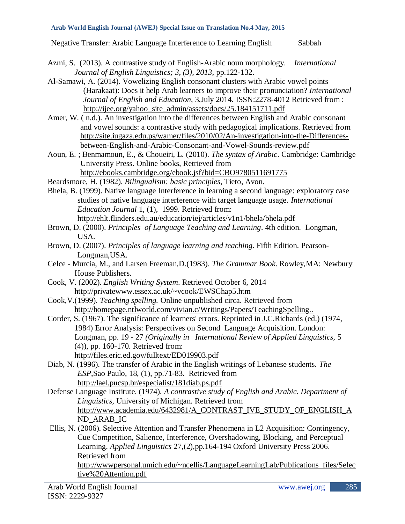- Azmi, S. (2013). A contrastive study of English-Arabic noun morphology. *International Journal of English Linguistics; 3, (3), 2013*, pp.122-132.
- Al-Samawi, A. (2014). Vowelizing English consonant clusters with Arabic vowel points (Harakaat): Does it help Arab learners to improve their pronunciation? *International Journal of English and Education*, 3,July 2014. ISSN:2278-4012 Retrieved from : [http://ijee.org/yahoo\\_site\\_admin/assets/docs/25.184151711.pdf](http://ijee.org/yahoo_site_admin/assets/docs/25.184151711.pdf)
- Amer, W. ( n.d.). An investigation into the differences between English and Arabic consonant and vowel sounds: a contrastive study with pedagogical implications. Retrieved from http://site.iugaza.edu.ps/wamer/files/2010/02/An-investigation-into-the-Differencesbetween-English-and-Arabic-Consonant-and-Vowel-Sounds-review.pdf
- Aoun, E. ; Benmamoun, E., & Choueiri, L. (2010). *The syntax of Arabic*. Cambridge: Cambridge University Press. Online books, Retrieved from <http://ebooks.cambridge.org/ebook.jsf?bid=CBO9780511691775>
- Beardsmore, H. (1982). *Bilingualism: basic principles*, Tieto, Avon.
- Bhela, B. (1999). Native language Interference in learning a second language: exploratory case studies of native language interference with target language usage. *International Education Journal* 1, (1), 1999. Retrieved from: <http://ehlt.flinders.edu.au/education/iej/articles/v1n1/bhela/bhela.pdf>
- Brown, D. (2000). *Principles of Language Teaching and Learning*. 4th edition. Longman, USA.
- Brown, D. (2007). *Principles of language learning and teaching*. Fifth Edition. Pearson-Longman,USA.
- Celce Murcia, M., and Larsen Freeman,D.(1983). *The Grammar Book*. Rowley,MA: Newbury House Publishers.
- Cook, V. (2002). *English Writing System*. Retrieved October 6, 2014 <http://privatewww.essex.ac.uk/~vcook/EWSChap5.htm>
- Cook,V.(1999). *Teaching spelling.* Online unpublished circa. Retrieved from http://homepage.ntlworld.com/vivian.c/Writings/Papers/TeachingSpelling..
- Corder, S. (1967). The significance of learners' errors. Reprinted in J.C.Richards (ed.) (1974, 1984) Error Analysis: Perspectives on Second Language Acquisition. London: Longman, pp. 19 - 27 *(Originally in International Review of Applied Linguistics,* 5 (4)), pp. 160-170. Retrieved from: http://files.eric.ed.gov/fulltext/ED019903.pdf
- Diab, N. (1996). The transfer of Arabic in the English writings of Lebanese students. *The ESP*,Sao Paulo, 18, (1), pp.71-83. Retrieved from <http://lael.pucsp.br/especialist/181diab.ps.pdf>
- Defense Language Institute. (1974). *A contrastive study of English and Arabic. Department of Linguistics,* University of Michigan. Retrieved from http://www.academia.edu/6432981/A\_CONTRAST\_IVE\_STUDY\_OF\_ENGLISH\_A ND\_ARAB\_IC
- Ellis, N. (2006). Selective Attention and Transfer Phenomena in L2 Acquisition: Contingency, Cue Competition, Salience, Interference, Overshadowing, Blocking, and Perceptual Learning. *Applied Linguistics* 27,(2),pp.164-194 Oxford University Press 2006. Retrieved from [http://wwwpersonal.umich.edu/~ncellis/LanguageLearningLab/Publications\\_files/Selec](http://wwwpersonal.umich.edu/~ncellis/LanguageLearningLab/Publications_files/Selective%20Attention.pdf) tive%20Attention.pdf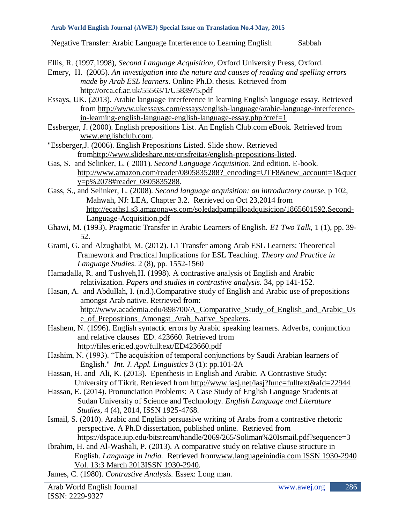Ellis, R. (1997,1998), *Second Language Acquisition*, Oxford University Press, Oxford.

- Emery, H. (2005). *An investigation into the nature and causes of reading and spelling errors made by Arab ESL learners*. Online Ph.D. thesis. Retrieved from http://orca.cf.ac.uk/55563/1/U583975.pdf
- Essays, UK. (2013). Arabic language interference in learning English language essay. Retrieved from [http://www.ukessays.com/essays/english-language/arabic-language-interference](http://www.ukessays.com/essays/english-language/arabic-language-interference-in-learning-english-language-english-language-essay.php?cref=1)[in-learning-english-language-english-language-essay.php?cref=1](http://www.ukessays.com/essays/english-language/arabic-language-interference-in-learning-english-language-english-language-essay.php?cref=1)
- Essberger, J. (2000). English prepositions List. An English Club.com eBook. Retrieved from [www.englishclub.com.](http://www.englishclub.com/)
- "Essberger,J. (2006). English Prepositions Listed. Slide show. Retrieved fro[mhttp://www.slideshare.net/crisfreitas/english-prepositions-listed.](http://www.slideshare.net/crisfreitas/english-prepositions-listed)
- Gas, S. and Selinker, L. ( 2001). *Second Language Acquisition*. 2nd edition. E-book. http://www.amazon.com/reader/0805835288? encoding=UTF8&new account=1&quer y=p%2078#reader\_0805835288.
- Gass, S., and Selinker, L. (2008). *Second language acquisition: an introductory course,* p 102, Mahwah, NJ: LEA, Chapter 3.2. Retrieved on Oct 23,2014 from [http://ecaths1.s3.amazonaws.com/soledadpampilloadquisicion/1865601592.Second-](http://ecaths1.s3.amazonaws.com/soledadpampilloadquisicion/1865601592.Second-Language-Acquisition.pdf)Language-Acquisition.pdf
- Ghawi, M. (1993). Pragmatic Transfer in Arabic Learners of English. *E1 Two Talk*, 1 (1), pp. 39- 52.
- Grami, G. and Alzughaibi, M. (2012). L1 Transfer among Arab ESL Learners: Theoretical Framework and Practical Implications for ESL Teaching. *Theory and Practice in Language Studies*. 2 (8), pp. 1552-1560
- Hamadalla, R. and Tushyeh,H. (1998). A contrastive analysis of English and Arabic relativization. *Papers and studies in contrastive analysis.* 34, pp 141-152.
- Hasan, A. and Abdullah, I. (n.d.).Comparative study of English and Arabic use of prepositions amongst Arab native. Retrieved from: [http://www.academia.edu/898700/A\\_Comparative\\_Study\\_of\\_English\\_and\\_Arabic\\_Us](http://www.academia.edu/898700/A_Comparative_Study_of_English_and_Arabic_Use_of_Prepositions_Amongst_Arab_Native_Speakers) e\_of\_Prepositions\_Amongst\_Arab\_Native\_Speakers.
- Hashem, N. (1996). English syntactic errors by Arabic speaking learners. Adverbs, conjunction and relative clauses ED. 423660. Retrieved from <http://files.eric.ed.gov/fulltext/ED423660.pdf>
- Hashim, N. (1993). "The acquisition of temporal conjunctions by Saudi Arabian learners of English." *Int. J. Appl. Linguistics* 3 (1): pp.101-2A
- Hassan, H. and Ali, K. (2013). Epenthesis in English and Arabic. A Contrastive Study: University of Tikrit. Retrieved from<http://www.iasj.net/iasj?func=fulltext&aId=22944>
- Hassan, E. (2014). Pronunciation Problems: A Case Study of English Language Students at Sudan University of Science and Technology. *English Language and Literature Studies,* 4 (4), 2014, ISSN 1925-4768.
- Ismail, S. (2010). Arabic and English persuasive writing of Arabs from a contrastive rhetoric perspective. A Ph.D dissertation, published online. Retrieved from <https://dspace.iup.edu/bitstream/handle/2069/265/Soliman%20Ismail.pdf?sequence=3>
- Ibrahim, H. and Al-Washali, P. (2013). A comparative study on relative clause structure in English. *Language in India.* Retrieved fromwww.languageinindia.com ISSN 1930-2940 Vol. 13:3 March 2013ISSN 1930-2940.
- James, C. (1980). *Contrastive Analysis.* Essex: Long man.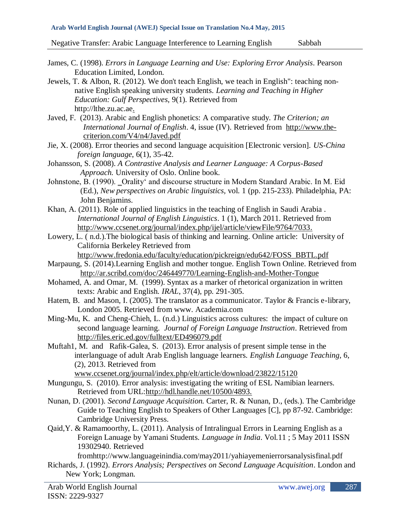- James, C. (1998). *Errors in Language Learning and Use: Exploring Error Analysis*. Pearson Education Limited, London.
- Jewels, T. & Albon, R. (2012). We don't teach English, we teach in English": teaching nonnative English speaking university students. *Learning and Teaching in Higher Education: Gulf Perspectives,* 9(1). Retrieved from [http://lthe.zu.ac.ae.](http://lthe.zu.ac.ae/)
- Javed, F. (2013). Arabic and English phonetics: A comparative study. *The Criterion; an International Journal of English*. 4, issue (IV). Retrieved from http://www.thecriterion.com/V4/n4/Javed.pdf
- Jie, X. (2008). Error theories and second language acquisition [Electronic version]. *US-China foreign language*, 6(1), 35-42.
- Johansson, S. (2008). *A Contrastive Analysis and Learner Language: A Corpus-Based Approach.* University of Oslo. Online book.
- Johnstone, B. (1990). \_Orality' and discourse structure in Modern Standard Arabic. In M. Eid (Ed.), *New perspectives on Arabic linguistics,* vol. 1 (pp. 215-233). Philadelphia, PA: John Benjamins.
- Khan, A. (2011). Role of applied linguistics in the teaching of English in Saudi Arabia . *International Journal of English Linguistics*. 1 (1), March 2011. Retrieved from [http://www.ccsenet.org/journal/index.php/ijel/article/viewFile/9764/7033.](http://www.ccsenet.org/journal/index.php/ijel/article/viewFile/9764/7033)
- Lowery, L. ( n.d.).The biological basis of thinking and learning. Online article: University of California Berkeley Retrieved from

http://www.fredonia.edu/faculty/education/pickreign/edu642/FOSS\_BBTL.pdf

- Marpaung, S. (2014).Learning English and mother tongue. English Town Online. Retrieved from <http://ar.scribd.com/doc/246449770/Learning-English-and-Mother-Tongue>
- Mohamed, A. and Omar, M. (1999). Syntax as a marker of rhetorical organization in written texts: Arabic and English. *IRAL*, 37(4), pp. 291-305.
- Hatem, B. and Mason, I. (2005). The translator as a communicator. Taylor & Francis e-library, London 2005. Retrieved from www. Academia.com
- Ming-Mu, K. and Cheng-Chieh, L. (n.d.) Linguistics across cultures: the impact of culture on second language learning. *Journal of Foreign Language Instruction*. Retrieved from <http://files.eric.ed.gov/fulltext/ED496079.pdf>
- Muftah1, M. and Rafik-Galea, S. (2013). Error analysis of present simple tense in the interlanguage of adult Arab English language learners. *English Language Teaching,* 6, (2), 2013. Retrieved from www.ccsenet.org/journal/index.php/elt/article/download/23822/15120
- Mungungu, S. (2010). Error analysis: investigating the writing of ESL Namibian learners. Retrieved from URL[:http://hdl.handle.net/10500/4893.](http://hdl.handle.net/10500/4893.)
- Nunan, D. (2001). *Second Language Acquisition.* Carter, R. & Nunan, D., (eds.). The Cambridge Guide to Teaching English to Speakers of Other Languages [C], pp 87-92. Cambridge: Cambridge University Press.
- Qaid,Y. & Ramamoorthy, L. (2011). Analysis of Intralingual Errors in Learning English as a Foreign Lanuage by Yamani Students. *Language in India*. Vol.11 ; 5 May 2011 ISSN 19302940. Retrieved

fromhttp://www.languageinindia.com/may2011/yahiayemenierrorsanalysisfinal.pdf

Richards, J. (1992). *Errors Analysis; Perspectives on Second Language Acquisition*. London and New York; Longman.